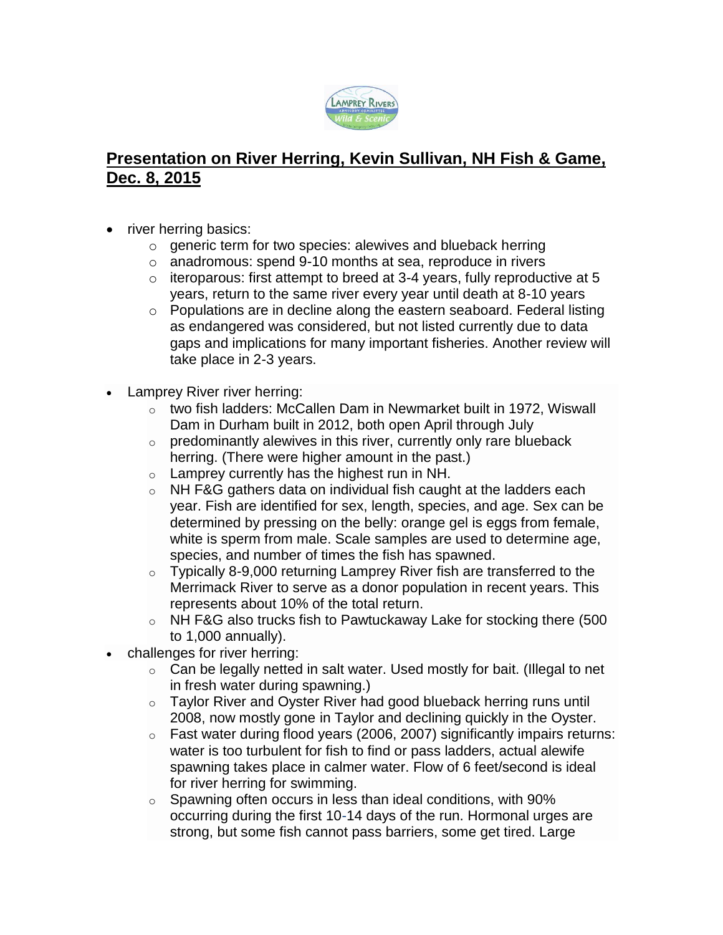

## **Presentation on River Herring, Kevin Sullivan, NH Fish & Game, Dec. 8, 2015**

- river herring basics:
	- o generic term for two species: alewives and blueback herring
	- o anadromous: spend 9-10 months at sea, reproduce in rivers
	- $\circ$  iteroparous: first attempt to breed at 3-4 years, fully reproductive at 5 years, return to the same river every year until death at 8-10 years
	- o Populations are in decline along the eastern seaboard. Federal listing as endangered was considered, but not listed currently due to data gaps and implications for many important fisheries. Another review will take place in 2-3 years.
- Lamprey River river herring:
	- o two fish ladders: McCallen Dam in Newmarket built in 1972, Wiswall Dam in Durham built in 2012, both open April through July
	- $\circ$  predominantly alewives in this river, currently only rare blueback herring. (There were higher amount in the past.)
	- $\circ$  Lamprey currently has the highest run in NH.
	- $\circ$  NH F&G gathers data on individual fish caught at the ladders each year. Fish are identified for sex, length, species, and age. Sex can be determined by pressing on the belly: orange gel is eggs from female, white is sperm from male. Scale samples are used to determine age, species, and number of times the fish has spawned.
	- $\circ$  Typically 8-9,000 returning Lamprey River fish are transferred to the Merrimack River to serve as a donor population in recent years. This represents about 10% of the total return.
	- $\circ$  NH F&G also trucks fish to Pawtuckaway Lake for stocking there (500 to 1,000 annually).
- challenges for river herring:
	- $\circ$  Can be legally netted in salt water. Used mostly for bait. (Illegal to net in fresh water during spawning.)
	- o Taylor River and Oyster River had good blueback herring runs until 2008, now mostly gone in Taylor and declining quickly in the Oyster.
	- $\circ$  Fast water during flood years (2006, 2007) significantly impairs returns: water is too turbulent for fish to find or pass ladders, actual alewife spawning takes place in calmer water. Flow of 6 feet/second is ideal for river herring for swimming.
	- $\circ$  Spawning often occurs in less than ideal conditions, with 90% occurring during the first 10-14 days of the run. Hormonal urges are strong, but some fish cannot pass barriers, some get tired. Large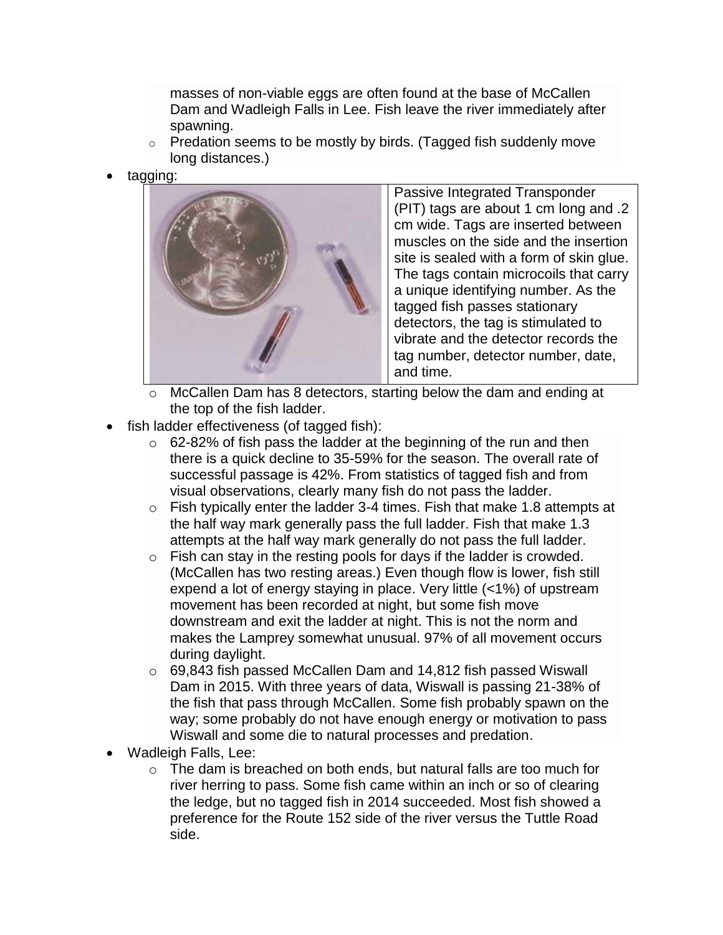masses of non-viable eggs are often found at the base of McCallen Dam and Wadleigh Falls in Lee. Fish leave the river immediately after spawning.

- $\circ$  Predation seems to be mostly by birds. (Tagged fish suddenly move long distances.)
- tagging:



Passive Integrated Transponder (PIT) tags are about 1 cm long and .2 cm wide. Tags are inserted between muscles on the side and the insertion site is sealed with a form of skin glue. The tags contain microcoils that carry a unique identifying number. As the tagged fish passes stationary detectors, the tag is stimulated to vibrate and the detector records the tag number, detector number, date, and time.

- $\circ$  McCallen Dam has 8 detectors, starting below the dam and ending at the top of the fish ladder.
- fish ladder effectiveness (of tagged fish):
	- $\circ$  62-82% of fish pass the ladder at the beginning of the run and then there is a quick decline to 35-59% for the season. The overall rate of successful passage is 42%. From statistics of tagged fish and from visual observations, clearly many fish do not pass the ladder.
	- $\circ$  Fish typically enter the ladder 3-4 times. Fish that make 1.8 attempts at the half way mark generally pass the full ladder. Fish that make 1.3 attempts at the half way mark generally do not pass the full ladder.
	- $\circ$  Fish can stay in the resting pools for days if the ladder is crowded. (McCallen has two resting areas.) Even though flow is lower, fish still expend a lot of energy staying in place. Very little (<1%) of upstream movement has been recorded at night, but some fish move downstream and exit the ladder at night. This is not the norm and makes the Lamprey somewhat unusual. 97% of all movement occurs during daylight.
	- $\circ$  69,843 fish passed McCallen Dam and 14,812 fish passed Wiswall Dam in 2015. With three years of data, Wiswall is passing 21-38% of the fish that pass through McCallen. Some fish probably spawn on the way; some probably do not have enough energy or motivation to pass Wiswall and some die to natural processes and predation.
- Wadleigh Falls, Lee:
	- $\circ$  The dam is breached on both ends, but natural falls are too much for river herring to pass. Some fish came within an inch or so of clearing the ledge, but no tagged fish in 2014 succeeded. Most fish showed a preference for the Route 152 side of the river versus the Tuttle Road side.